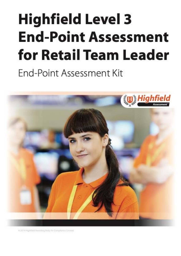# <span id="page-0-2"></span><span id="page-0-1"></span><span id="page-0-0"></span>**Highfield Level 3 End-Point Assessment** for Retail Team Leader

End-Point Assessment Kit



@ 2019 Highfield Awarding Body for Compliance Limited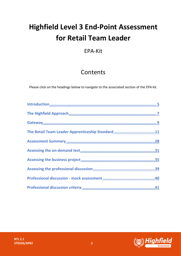# **Highfield Level 3 End-Point Assessment for Retail Team Leader**

# EPA-Kit

# Contents

Please click on the headings below to navigate to the associated section of the EPA kit.

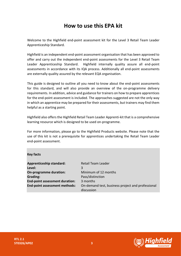# **How to use this EPA kit**

Welcome to the Highfield end-point assessment kit for the Level 3 Retail Team Leader Apprenticeship Standard.

Highfield is an independent end-point assessment organisation that has been approved to offer and carry out the independent end-point assessments for the Level 3 Retail Team Leader Apprenticeship Standard. Highfield internally quality assure all end-point assessments in accordance with its IQA process. Additionally all end-point assessments are externally quality assured by the relevant EQA organisation.

This guide is designed to outline all you need to know about the end-point assessments for this standard, and will also provide an overview of the on-programme delivery requirements. In addition, advice and guidance for trainers on how to prepare apprentices for the end-point assessment is included. The approaches suggested are not the only way in which an apprentice may be prepared for their assessments, but trainers may find them helpful as a starting point.

Highfield also offers the Highfield Retail Team Leader Apprenti-kit that is a comprehensive learning resource which is designed to be used on-programme.

For more information, please go to the Highfield Products website. Please note that the use of this kit is not a prerequisite for apprentices undertaking the Retail Team Leader end-point assessment.

#### **Key facts**

| Retail Team Leader<br>3                                         |
|-----------------------------------------------------------------|
| Minimum of 12 months                                            |
| Pass/distinction                                                |
| 3 months                                                        |
| On-demand test, business project and professional<br>discussion |
|                                                                 |



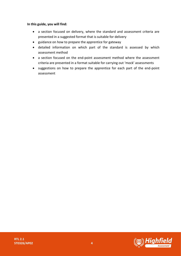#### **In this guide, you will find:**

- a section focused on delivery, where the standard and assessment criteria are presented in a suggested format that is suitable for delivery
- guidance on how to prepare the apprentice for gateway
- detailed information on which part of the standard is assessed by which assessment method
- a section focused on the end-point assessment method where the assessment criteria are presented in a format suitable for carrying out 'mock' assessments
- suggestions on how to prepare the apprentice for each part of the end-point assessment

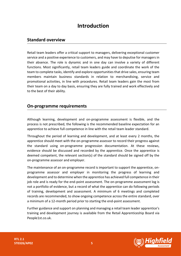# **Introduction**

### <span id="page-4-0"></span>**Standard overview**

Retail team leaders offer a critical support to managers, delivering exceptional customer service and a positive experience to customers, and may have to deputise for managers in their absence. The role is dynamic and in one day can involve a variety of different functions. Most significantly, retail team leaders guide and coordinate the work of the team to complete tasks, identify and explore opportunities that drive sales, ensuring team members maintain business standards in relation to merchandising, service and promotional activities, in line with procedures. Retail team leaders gain the most from their team on a day to day basis, ensuring they are fully trained and work effectively and to the best of their ability.

## **On-programme requirements**

Although learning, development and on-programme assessment is flexible, and the process is not prescribed, the following is the recommended baseline expectation for an apprentice to achieve full competence in line with the retail team leader standard.

Throughout the period of learning and development, and at least every 2 months, the apprentice should meet with the on-programme assessor to record their progress against the standard using on-programme progression documentation. At these reviews, evidence should be discussed and recorded by the apprentice. Once the apprentice is deemed competent, the relevant section(s) of the standard should be signed off by the on-programme assessor and employer.

The maintenance of an on-programme record is important to support the apprentice, onprogramme assessor and employer in monitoring the progress of learning and development and to determine when the apprentice has achieved full competence in their job role and is ready for the end-point assessment. The on-programme assessment log is not a portfolio of evidence, but a record of what the apprentice can do following periods of training, development and assessment. A minimum of 6 meetings and completed records are recommended, to show ongoing competence across the entire standard, over a minimum of a 12-month period prior to starting the end-point assessment.

Further guidance and support on planning and managing a retail team leader apprentice's training and development journey is available from the Retail Apprenticeship Board via People1st.co.uk.

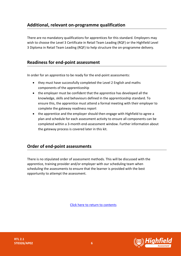# **Additional, relevant on-programme qualification**

There are no mandatory qualifications for apprentices for this standard. Employers may wish to choose the Level 3 Certificate in Retail Team Leading (RQF) or the Highfield Level 3 Diploma in Retail Team Leading (RQF) to help structure the on-programme delivery.

## **Readiness for end-point assessment**

In order for an apprentice to be ready for the end-point assessments:

- they must have successfully completed the Level 2 English and maths components of the apprenticeship
- the employer must be confident that the apprentice has developed all the knowledge, skills and behaviours defined in the apprenticeship standard. To ensure this, the apprentice must attend a formal meeting with their employer to complete the gateway readiness report
- the apprentice and the employer should then engage with Highfield to agree a plan and schedule for each assessment activity to ensure all components can be completed within a 3-month end-assessment window. Further information about the gateway process is covered later in this kit.

## **Order of end-point assessments**

There is no stipulated order of assessment methods. This will be discussed with the apprentice, training provider and/or employer with our scheduling team when scheduling the assessments to ensure that the learner is provided with the best opportunity to attempt the assessment.



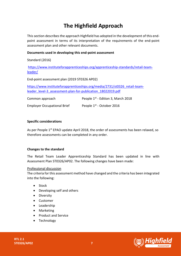# <span id="page-6-0"></span>**The Highfield Approach**

This section describes the approach Highfield has adopted in the development of this endpoint assessment in terms of its interpretation of the requirements of the end-point assessment plan and other relevant documents.

#### **Documents used in developing this end-point assessment**

Standard (2016)

[https://www.instituteforapprenticeships.org/apprenticeship-standards/retail-team](https://www.instituteforapprenticeships.org/apprenticeship-standards/retail-team-leader/)[leader/](https://www.instituteforapprenticeships.org/apprenticeship-standards/retail-team-leader/)

End-point assessment plan (2019 ST0326 AP02)

[https://www.instituteforapprenticeships.org/media/2731/st0326\\_retail-team](https://www.instituteforapprenticeships.org/media/2731/st0326_retail-team-leader_level-3_assessment-plan-for-publication_18022019.pdf)[leader\\_level-3\\_assessment-plan-for-publication\\_18022019.pdf](https://www.instituteforapprenticeships.org/media/2731/st0326_retail-team-leader_level-3_assessment-plan-for-publication_18022019.pdf)

| Common approach                    | People 1 <sup>st</sup> - Edition 3, March 2018 |
|------------------------------------|------------------------------------------------|
| <b>Employer Occupational Brief</b> | People 1 <sup>st</sup> - October 2016          |

#### **Specific considerations**

As per People 1<sup>st</sup> EPAO update April 2018, the order of assessments has been relaxed, so therefore assessments can be completed in any order.

#### **Changes to the standard**

The Retail Team Leader Apprenticeship Standard has been updated in line with Assessment Plan ST0326/AP02. The following changes have been made:

#### Professional discussion

The criteria for this assessment method have changed and the criteria has been integrated into the following:

- Stock
- Developing self and others
- Diversity
- Customer
- Leadership
- Marketing
- Product and Service
- Technology

**RTL 2.1 ST0326/AP02 7**

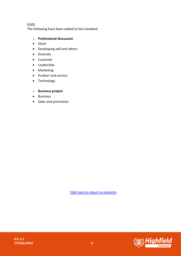#### **Units**

The following have been added to the standard:

#### o **Professional discussion**

- Stock
- Developing self and others
- Diversity
- Customer
- Leadership
- Marketing
- Product and service
- Technology

#### o **Business project**

- Business
- Sales and promotion



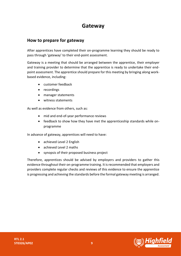# **Gateway**

## <span id="page-8-0"></span>**How to prepare for gateway**

After apprentices have completed their on-programme learning they should be ready to pass through 'gateway' to their end-point assessment.

Gateway is a meeting that should be arranged between the apprentice, their employer and training provider to determine that the apprentice is ready to undertake their endpoint assessment. The apprentice should prepare for this meeting by bringing along workbased evidence, including:

- customer feedback
- recordings
- manager statements
- witness statements

As well as evidence from others, such as:

- mid and end-of-year performance reviews
- feedback to show how they have met the apprenticeship standards while onprogramme

In advance of gateway, apprentices will need to have:

- achieved Level 2 English
- achieved Level 2 maths
- synopsis of their proposed business project

Therefore, apprentices should be advised by employers and providers to gather this evidence throughout their on-programme training. It is recommended that employers and providers complete regular checks and reviews of this evidence to ensure the apprentice is progressing and achieving the standards before the formal gateway meeting is arranged.

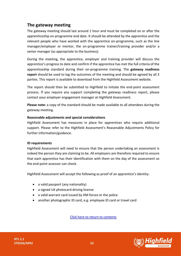# **The gateway meeting**

The gateway meeting should last around 1 hour and must be completed on or after the apprenticeship on-programme end date. It should be attended by the apprentice and the relevant people who have worked with the apprentice on-programme, such as the line manager/employer or mentor, the on-programme trainer/training provider and/or a senior manager (as appropriate to the business).

During the meeting, the apprentice, employer and training provider will discuss the apprentice's progress to date and confirm if the apprentice has met the full criteria of the apprenticeship standard during their on-programme training. The **gateway readiness report** should be used to log the outcomes of the meeting and should be agreed by all 3 parties. This report is available to download from the Highfield Assessment website.

The report should then be submitted to Highfield to initiate the end-point assessment process. If you require any support completing the gateway readiness report, please contact your employer engagement manager at Highfield Assessment.

**Please note:** a copy of the standard should be made available to all attendees during the gateway meeting.

#### **Reasonable adjustments and special considerations**

Highfield Assessment has measures in place for apprentices who require additional support. Please refer to the Highfield Assessment's Reasonable Adjustments Policy for further information/guidance.

#### **ID requirements**

Highfield Assessment will need to ensure that the person undertaking an assessment is indeed the person they are claiming to be. All employers are therefore required to ensure that each apprentice has their identification with them on the day of the assessment so the end-point assessor can check.

Highfield Assessment will accept the following as proof of an apprentice's identity:

- a valid passport (any nationality)
- a signed UK photocard driving license
- a valid warrant card issued by HM forces or the police
- another photographic ID card, e.g. employee ID card or travel card

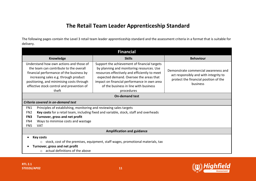# **The Retail Team Leader Apprenticeship Standard**

The following pages contain the Level 3 retail team leader apprenticeship standard and the assessment criteria in a format that is suitable for delivery.

<span id="page-10-0"></span>

| <b>Financial</b>                                                                                         |                                                                                        |                                       |  |  |
|----------------------------------------------------------------------------------------------------------|----------------------------------------------------------------------------------------|---------------------------------------|--|--|
| <b>Knowledge</b><br><b>Skills</b>                                                                        |                                                                                        | <b>Behaviour</b>                      |  |  |
| Understand how own actions and those of                                                                  | Support the achievement of financial targets                                           |                                       |  |  |
| the team can contribute to the overall                                                                   | by planning and monitoring resources. Use                                              | Demonstrate commercial awareness and  |  |  |
| financial performance of the business by                                                                 | resources effectively and efficiently to meet                                          | act responsibly and with integrity to |  |  |
| increasing sales e.g. through product<br>positioning, and minimising costs through                       | expected demand. Oversee the areas that<br>impact on financial performance in own area | protect the financial position of the |  |  |
| effective stock control and prevention of                                                                | of the business in line with business                                                  | business                              |  |  |
| theft                                                                                                    | procedures                                                                             |                                       |  |  |
| <b>On-demand test</b>                                                                                    |                                                                                        |                                       |  |  |
| Criteria covered in on-demand test                                                                       |                                                                                        |                                       |  |  |
| FN1<br>Principles of establishing, monitoring and reviewing sales targets                                |                                                                                        |                                       |  |  |
| Key costs for a retail team, including fixed and variable, stock, staff and overheads<br>FN <sub>2</sub> |                                                                                        |                                       |  |  |
| Turnover, gross and net profit<br>FN <sub>3</sub>                                                        |                                                                                        |                                       |  |  |
| Ways to minimise costs and wastage<br>FN4                                                                |                                                                                        |                                       |  |  |
| FN <sub>5</sub><br>VAT                                                                                   |                                                                                        |                                       |  |  |
| <b>Amplification and guidance</b>                                                                        |                                                                                        |                                       |  |  |
| <b>Key costs</b>                                                                                         |                                                                                        |                                       |  |  |
| $\circ$ stock, cost of the premises, equipment, staff wages, promotional materials, tax                  |                                                                                        |                                       |  |  |
| Turnover, gross and net profit                                                                           |                                                                                        |                                       |  |  |
| actual definitions of the above<br>$\circ$                                                               |                                                                                        |                                       |  |  |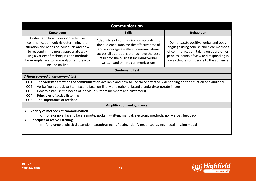| <b>Communication</b>                                                                                                                                                                                                                                                                                                                                                                                                                                                                                                                                         |                  |                                                                                                                                                                                                                       |  |  |
|--------------------------------------------------------------------------------------------------------------------------------------------------------------------------------------------------------------------------------------------------------------------------------------------------------------------------------------------------------------------------------------------------------------------------------------------------------------------------------------------------------------------------------------------------------------|------------------|-----------------------------------------------------------------------------------------------------------------------------------------------------------------------------------------------------------------------|--|--|
| Knowledge                                                                                                                                                                                                                                                                                                                                                                                                                                                                                                                                                    | <b>Behaviour</b> |                                                                                                                                                                                                                       |  |  |
| Understand how to support effective<br>Adapt style of communication according to<br>communication, quickly determining the<br>the audience, monitor the effectiveness of<br>situation and needs of individuals and how<br>and encourage excellent communications<br>to respond in the most appropriate way<br>across all operations that achieve the best<br>using a variety of techniques and methods,<br>result for the business including verbal,<br>for example face to face and/or remotely to<br>written and on-line communications<br>include on-line |                  | Demonstrate positive verbal and body<br>language using concise and clear methods<br>of communication, taking on board other<br>peoples' points of view and responding in<br>a way that is considerate to the audience |  |  |
| <b>On-demand test</b>                                                                                                                                                                                                                                                                                                                                                                                                                                                                                                                                        |                  |                                                                                                                                                                                                                       |  |  |
| Criteria covered in on-demand test                                                                                                                                                                                                                                                                                                                                                                                                                                                                                                                           |                  |                                                                                                                                                                                                                       |  |  |
| The variety of methods of communication available and how to use these effectively depending on the situation and audience<br>CO <sub>1</sub>                                                                                                                                                                                                                                                                                                                                                                                                                |                  |                                                                                                                                                                                                                       |  |  |
| Verbal/non-verbal/written, face to face, on-line, via telephone, brand standard/corporate image<br>CO <sub>2</sub>                                                                                                                                                                                                                                                                                                                                                                                                                                           |                  |                                                                                                                                                                                                                       |  |  |
| CO <sub>3</sub>                                                                                                                                                                                                                                                                                                                                                                                                                                                                                                                                              |                  | How to establish the needs of individuals (team members and customers)                                                                                                                                                |  |  |
| <b>Principles of active listening</b><br>CO <sub>4</sub>                                                                                                                                                                                                                                                                                                                                                                                                                                                                                                     |                  |                                                                                                                                                                                                                       |  |  |
| The importance of feedback<br>CO <sub>5</sub>                                                                                                                                                                                                                                                                                                                                                                                                                                                                                                                |                  |                                                                                                                                                                                                                       |  |  |
| <b>Amplification and guidance</b>                                                                                                                                                                                                                                                                                                                                                                                                                                                                                                                            |                  |                                                                                                                                                                                                                       |  |  |
| Variety of methods of communication<br>$\bullet$                                                                                                                                                                                                                                                                                                                                                                                                                                                                                                             |                  |                                                                                                                                                                                                                       |  |  |
| for example, face to face, remote, spoken, written, manual, electronic methods, non-verbal, feedback                                                                                                                                                                                                                                                                                                                                                                                                                                                         |                  |                                                                                                                                                                                                                       |  |  |
| <b>Principles of active listening</b><br>$\bullet$                                                                                                                                                                                                                                                                                                                                                                                                                                                                                                           |                  |                                                                                                                                                                                                                       |  |  |
| for example, physical attention, paraphrasing, reflecting, clarifying, encouraging, medal mission medal                                                                                                                                                                                                                                                                                                                                                                                                                                                      |                  |                                                                                                                                                                                                                       |  |  |

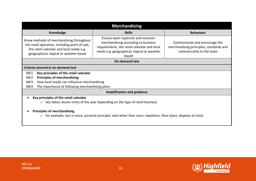| <b>Merchandising</b>                                                                                                                                                                                                                                                                                                                                                 |               |                                                                                                       |  |  |
|----------------------------------------------------------------------------------------------------------------------------------------------------------------------------------------------------------------------------------------------------------------------------------------------------------------------------------------------------------------------|---------------|-------------------------------------------------------------------------------------------------------|--|--|
| Knowledge                                                                                                                                                                                                                                                                                                                                                            | <b>Skills</b> | <b>Behaviour</b>                                                                                      |  |  |
| Ensure team replenish and maintain<br>Know methods of merchandising throughout<br>merchandising according to business<br>the retail operation, including point of sale,<br>requirements, the retail calendar and local<br>the retail calendar and local needs e.g.<br>needs e.g. geographical, topical or weather<br>geographical, topical or weather based<br>based |               | Communicate and encourage the<br>merchandising principles, standards and<br>commerciality to the team |  |  |
| <b>On-demand test</b>                                                                                                                                                                                                                                                                                                                                                |               |                                                                                                       |  |  |
| Criteria covered in on-demand test                                                                                                                                                                                                                                                                                                                                   |               |                                                                                                       |  |  |
| ME1<br>Key principles of the retail calendar<br><b>Principles of merchandising</b><br>ME <sub>2</sub><br>How local needs can influence merchandising<br>ME3<br>The importance of following merchandising plans<br>ME4                                                                                                                                                |               |                                                                                                       |  |  |
| <b>Amplification and guidance</b>                                                                                                                                                                                                                                                                                                                                    |               |                                                                                                       |  |  |
| Key principles of the retail calendar<br>key dates, busier times of the year depending on the type of retail business                                                                                                                                                                                                                                                |               |                                                                                                       |  |  |
| <b>Principles of merchandising</b><br>for example, less is more, pyramid principle, odd rather than even, repetition, floor plans, displays of stock<br>$\bigcirc$                                                                                                                                                                                                   |               |                                                                                                       |  |  |

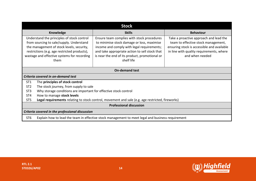| <b>Stock</b>                                                                                                                                                                                                                                                                                                                                                                                                                                                                                           |                  |                                                                                                                                                                                            |  |  |
|--------------------------------------------------------------------------------------------------------------------------------------------------------------------------------------------------------------------------------------------------------------------------------------------------------------------------------------------------------------------------------------------------------------------------------------------------------------------------------------------------------|------------------|--------------------------------------------------------------------------------------------------------------------------------------------------------------------------------------------|--|--|
| Knowledge                                                                                                                                                                                                                                                                                                                                                                                                                                                                                              | <b>Behaviour</b> |                                                                                                                                                                                            |  |  |
| Understand the principles of stock control<br>Ensure team complies with stock procedures<br>from sourcing to sale/supply. Understand<br>to minimise stock damage or loss, maximise<br>the management of stock levels, security,<br>income and comply with legal requirements;<br>restrictions (e.g. age restricted products),<br>and take appropriate action to sell stock that<br>wastage and effective systems for recording<br>is near the end of its product, promotional or<br>shelf life<br>them |                  | Take a proactive approach and lead the<br>team to effective stock management,<br>ensuring stock is accessible and available<br>in line with quality requirements, where<br>and when needed |  |  |
| <b>On-demand test</b>                                                                                                                                                                                                                                                                                                                                                                                                                                                                                  |                  |                                                                                                                                                                                            |  |  |
| Criteria covered in on-demand test                                                                                                                                                                                                                                                                                                                                                                                                                                                                     |                  |                                                                                                                                                                                            |  |  |
| ST <sub>1</sub><br>The principles of stock control                                                                                                                                                                                                                                                                                                                                                                                                                                                     |                  |                                                                                                                                                                                            |  |  |
| The stock journey, from supply to sale<br>ST <sub>2</sub>                                                                                                                                                                                                                                                                                                                                                                                                                                              |                  |                                                                                                                                                                                            |  |  |
| Why storage conditions are important for effective stock control<br>ST <sub>3</sub>                                                                                                                                                                                                                                                                                                                                                                                                                    |                  |                                                                                                                                                                                            |  |  |
| How to manage stock levels<br>ST <sub>4</sub>                                                                                                                                                                                                                                                                                                                                                                                                                                                          |                  |                                                                                                                                                                                            |  |  |
| ST <sub>5</sub><br>Legal requirements relating to stock control, movement and sale (e.g. age restricted, fireworks)                                                                                                                                                                                                                                                                                                                                                                                    |                  |                                                                                                                                                                                            |  |  |
| <b>Professional discussion</b>                                                                                                                                                                                                                                                                                                                                                                                                                                                                         |                  |                                                                                                                                                                                            |  |  |
| Criteria covered in the professional discussion                                                                                                                                                                                                                                                                                                                                                                                                                                                        |                  |                                                                                                                                                                                            |  |  |
| ST <sub>6</sub><br>Explain how to lead the team in effective stock management to meet legal and business requirement                                                                                                                                                                                                                                                                                                                                                                                   |                  |                                                                                                                                                                                            |  |  |

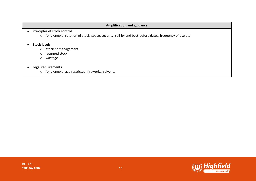#### **Amplification and guidance**

#### • **Principles of stock control**

o for example, rotation of stock, space, security, sell-by and best-before dates, frequency of use etc

#### • **Stock levels**

- o efficient management
- o returned stock
- o wastage

#### • **Legal requirements**

o for example, age restricted, fireworks, solvents

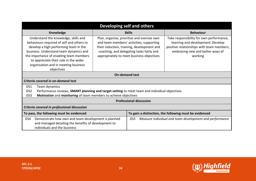| Developing self and others                                                                                                                                                                                                                                                                       |                       |                                                                                                                                                                                                                                |                                                                                                                                                                           |  |
|--------------------------------------------------------------------------------------------------------------------------------------------------------------------------------------------------------------------------------------------------------------------------------------------------|-----------------------|--------------------------------------------------------------------------------------------------------------------------------------------------------------------------------------------------------------------------------|---------------------------------------------------------------------------------------------------------------------------------------------------------------------------|--|
| Knowledge                                                                                                                                                                                                                                                                                        |                       | <b>Skills</b>                                                                                                                                                                                                                  | <b>Behaviour</b>                                                                                                                                                          |  |
| Understand the knowledge, skills and<br>behaviours required of self and others to<br>develop a high performing team in the<br>business. Understand team dynamics and<br>the importance of enabling team members<br>to appreciate their role in the wider<br>organisation and in meeting business |                       | Plan, organise, prioritise and oversee own<br>and team members' activities, supporting<br>their induction, training, development and<br>coaching, and delegating tasks fairly and<br>appropriately to meet business objectives | Take responsibility for own performance,<br>learning and development. Develop<br>positive relationships with team members,<br>embracing new and better ways of<br>working |  |
| objectives                                                                                                                                                                                                                                                                                       |                       |                                                                                                                                                                                                                                |                                                                                                                                                                           |  |
|                                                                                                                                                                                                                                                                                                  | <b>On-demand test</b> |                                                                                                                                                                                                                                |                                                                                                                                                                           |  |
| Criteria covered in on-demand test                                                                                                                                                                                                                                                               |                       |                                                                                                                                                                                                                                |                                                                                                                                                                           |  |
| DS1<br>Team dynamics<br>Performance reviews, SMART planning and target setting to meet team and individual objectives<br>DS <sub>2</sub><br>Motivation and monitoring of team members to achieve objectives<br>DS3                                                                               |                       |                                                                                                                                                                                                                                |                                                                                                                                                                           |  |
| <b>Professional discussion</b>                                                                                                                                                                                                                                                                   |                       |                                                                                                                                                                                                                                |                                                                                                                                                                           |  |
| Criteria covered in professional discussion                                                                                                                                                                                                                                                      |                       |                                                                                                                                                                                                                                |                                                                                                                                                                           |  |
| To pass, the following must be evidenced<br>To gain a distinction, the following must be evidenced                                                                                                                                                                                               |                       |                                                                                                                                                                                                                                |                                                                                                                                                                           |  |
| Demonstrate how own and team development is planned<br>DS4<br>and managed detailing the benefits of development to<br>individuals and the business                                                                                                                                               |                       | DS5                                                                                                                                                                                                                            | Measure individual and team development and performance                                                                                                                   |  |

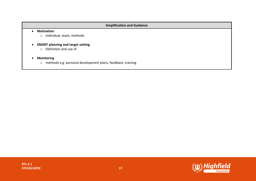#### **Amplification and Guidance**

#### • **Motivation**

- o individual, team, methods
- **SMART planning and target setting**
	- o Definition and use of
- **Monitoring**
	- o methods e.g. personal development plans, feedback, training

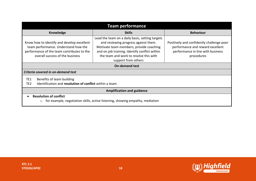| <b>Team performance</b>                                                                                                                                                                                                                                                                                                                                                                                                     |                  |                                                                                                                                  |  |  |
|-----------------------------------------------------------------------------------------------------------------------------------------------------------------------------------------------------------------------------------------------------------------------------------------------------------------------------------------------------------------------------------------------------------------------------|------------------|----------------------------------------------------------------------------------------------------------------------------------|--|--|
| Knowledge                                                                                                                                                                                                                                                                                                                                                                                                                   | <b>Behaviour</b> |                                                                                                                                  |  |  |
| Lead the team on a daily basis, setting targets<br>Know how to identify and develop excellent<br>and reviewing progress against them.<br>team performance. Understand how the<br>Motivate team members, provide coaching<br>performance of the team contributes to the<br>and on job training. Identify conflict within<br>the team and work to resolve this with<br>overall success of the business<br>support from others |                  | Positively and confidently challenge poor<br>performance and reward excellent<br>performance in line with business<br>procedures |  |  |
| <b>On-demand test</b>                                                                                                                                                                                                                                                                                                                                                                                                       |                  |                                                                                                                                  |  |  |
| Criteria covered in on-demand test                                                                                                                                                                                                                                                                                                                                                                                          |                  |                                                                                                                                  |  |  |
| TE1<br>Benefits of team building<br>Identification and resolution of conflict within a team<br>TE <sub>2</sub>                                                                                                                                                                                                                                                                                                              |                  |                                                                                                                                  |  |  |
| <b>Amplification and guidance</b>                                                                                                                                                                                                                                                                                                                                                                                           |                  |                                                                                                                                  |  |  |
| <b>Resolution of conflict</b><br>for example, negotiation skills, active listening, showing empathy, mediation<br>$\circ$                                                                                                                                                                                                                                                                                                   |                  |                                                                                                                                  |  |  |

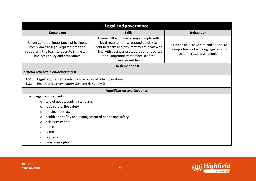| <b>Legal and governance</b>                                                                                                                                                                                                                                                                                                                                    |                                                                                                                                                                                                                                                 |                                                                                                                    |  |  |
|----------------------------------------------------------------------------------------------------------------------------------------------------------------------------------------------------------------------------------------------------------------------------------------------------------------------------------------------------------------|-------------------------------------------------------------------------------------------------------------------------------------------------------------------------------------------------------------------------------------------------|--------------------------------------------------------------------------------------------------------------------|--|--|
| <b>Skills</b><br>Knowledge                                                                                                                                                                                                                                                                                                                                     |                                                                                                                                                                                                                                                 | <b>Behaviour</b>                                                                                                   |  |  |
| Understand the importance of business<br>compliance to legal requirements and<br>supporting the team to operate in line with<br>business policy and procedures                                                                                                                                                                                                 | Ensure self and team always comply with<br>legal requirements, respond quickly to<br>identified risks and ensure they are dealt with<br>in line with business procedures and reported<br>to the appropriate member(s) of the<br>management team | Be responsible, advocate and adhere to<br>the importance of working legally in the<br>best interests of all people |  |  |
|                                                                                                                                                                                                                                                                                                                                                                | <b>On-demand test</b>                                                                                                                                                                                                                           |                                                                                                                    |  |  |
| Criteria covered in on-demand test                                                                                                                                                                                                                                                                                                                             |                                                                                                                                                                                                                                                 |                                                                                                                    |  |  |
| LG1<br>LG <sub>2</sub>                                                                                                                                                                                                                                                                                                                                         | Legal requirements relating to a range of retail operations<br>Health and safety supervision and risk analysis                                                                                                                                  |                                                                                                                    |  |  |
|                                                                                                                                                                                                                                                                                                                                                                | <b>Amplification and Guidance</b>                                                                                                                                                                                                               |                                                                                                                    |  |  |
| <b>Legal requirements</b><br>sale of goods, trading standards<br>$\circ$<br>food safety, fire safety<br>$\circ$<br>employment law<br>$\circ$<br>health and safety and management of health and safety<br>$\circ$<br>risk assessments<br>$\circ$<br><b>RIDDOR</b><br>$\circ$<br><b>GDPR</b><br>$\bigcirc$<br>licensing<br>$\circ$<br>consumer rights<br>$\circ$ |                                                                                                                                                                                                                                                 |                                                                                                                    |  |  |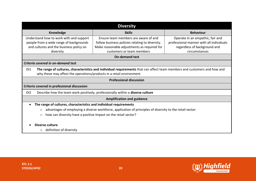| <b>Diversity</b>                                                                                                                                                                                         |                                                 |                                          |  |  |
|----------------------------------------------------------------------------------------------------------------------------------------------------------------------------------------------------------|-------------------------------------------------|------------------------------------------|--|--|
| Knowledge                                                                                                                                                                                                | <b>Behaviour</b>                                |                                          |  |  |
| Understand how to work with and support                                                                                                                                                                  | Ensure team members are aware of and            | Operate in an empathic, fair and         |  |  |
| people from a wide range of backgrounds                                                                                                                                                                  | follow business policies relating to diversity. | professional manner with all individuals |  |  |
| and cultures and the business policy on                                                                                                                                                                  | Make reasonable adjustments as required for     | regardless of background and             |  |  |
| diversity                                                                                                                                                                                                | customers or team members                       | circumstances                            |  |  |
|                                                                                                                                                                                                          | <b>On-demand test</b>                           |                                          |  |  |
| Criteria covered in on-demand test                                                                                                                                                                       |                                                 |                                          |  |  |
| The range of cultures, characteristics and individual requirements that can affect team members and customers and how and<br>DI1<br>why these may affect the operations/products in a retail environment |                                                 |                                          |  |  |
| <b>Professional discussion</b>                                                                                                                                                                           |                                                 |                                          |  |  |
| Criteria covered in professional discussion                                                                                                                                                              |                                                 |                                          |  |  |
| Describe how the team work positively, professionally within a diverse culture<br>D <sub>12</sub>                                                                                                        |                                                 |                                          |  |  |
| <b>Amplification and guidance</b>                                                                                                                                                                        |                                                 |                                          |  |  |
| The range of cultures, characteristics and individual requirements<br>advantages of employing a diverse workforce, application of principles of diversity to the retail sector                           |                                                 |                                          |  |  |
| $\circ$                                                                                                                                                                                                  |                                                 |                                          |  |  |
| how can diversity have a positive impact on the retail sector?<br>$\circ$                                                                                                                                |                                                 |                                          |  |  |
| Diverse culture                                                                                                                                                                                          |                                                 |                                          |  |  |
| definition of diversity<br>$\circ$                                                                                                                                                                       |                                                 |                                          |  |  |

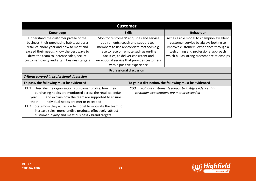| <b>Customer</b>                                                                                                                                                                                                                                                                                                                                                                                                                               |                                                                                                                                                                                                                                                                                             |     |                                                                                                                                                                                                                    |  |
|-----------------------------------------------------------------------------------------------------------------------------------------------------------------------------------------------------------------------------------------------------------------------------------------------------------------------------------------------------------------------------------------------------------------------------------------------|---------------------------------------------------------------------------------------------------------------------------------------------------------------------------------------------------------------------------------------------------------------------------------------------|-----|--------------------------------------------------------------------------------------------------------------------------------------------------------------------------------------------------------------------|--|
| Knowledge                                                                                                                                                                                                                                                                                                                                                                                                                                     | <b>Skills</b>                                                                                                                                                                                                                                                                               |     | <b>Behaviour</b>                                                                                                                                                                                                   |  |
| Understand the customer profile of the<br>business, their purchasing habits across a<br>retail calendar year and how to meet and<br>exceed their needs. Know the best ways to<br>drive the team to increase sales, secure<br>customer loyalty and attain business targets                                                                                                                                                                     | Monitor customers' enquiries and service<br>requirements; coach and support team<br>members to use appropriate methods e.g.<br>face to face or remote such as on-line<br>facilities, to deliver consistent and<br>exceptional service that provides customers<br>with a positive experience |     | Act as a role model to champion excellent<br>customer service by always looking to<br>improve customers' experience through a<br>welcoming and professional approach<br>which builds strong customer relationships |  |
| <b>Professional discussion</b>                                                                                                                                                                                                                                                                                                                                                                                                                |                                                                                                                                                                                                                                                                                             |     |                                                                                                                                                                                                                    |  |
| Criteria covered in professional discussion                                                                                                                                                                                                                                                                                                                                                                                                   |                                                                                                                                                                                                                                                                                             |     |                                                                                                                                                                                                                    |  |
| To pass, the following must be evidenced<br>To gain a distinction, the following must be evidenced                                                                                                                                                                                                                                                                                                                                            |                                                                                                                                                                                                                                                                                             |     |                                                                                                                                                                                                                    |  |
| Describe the organisation's customer profile, how their<br>CU1<br>purchasing habits are monitored across the retail calendar<br>and explain how the team are supported to ensure<br>year<br>individual needs are met or exceeded<br>their<br>State how they act as a role model to motivate the team to<br>CU <sub>2</sub><br>increase sales, merchandise products effectively, attract<br>customer loyalty and meet business / brand targets |                                                                                                                                                                                                                                                                                             | CU3 | Evaluate customer feedback to justify evidence that<br>customer expectations are met or exceeded                                                                                                                   |  |

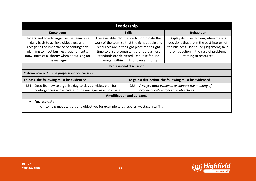| Leadership                                                                                                                                                                                                                               |                                                                                                                                                                                                                                                                                     |                                   |                                                                                                                                                                                                  |  |  |  |
|------------------------------------------------------------------------------------------------------------------------------------------------------------------------------------------------------------------------------------------|-------------------------------------------------------------------------------------------------------------------------------------------------------------------------------------------------------------------------------------------------------------------------------------|-----------------------------------|--------------------------------------------------------------------------------------------------------------------------------------------------------------------------------------------------|--|--|--|
| <b>Knowledge</b>                                                                                                                                                                                                                         |                                                                                                                                                                                                                                                                                     | <b>Skills</b>                     | <b>Behaviour</b>                                                                                                                                                                                 |  |  |  |
| Understand how to organise the team on a<br>daily basis to achieve objectives, and<br>recognise the importance of contingency<br>planning to meet business requirements;<br>know limits of authority when deputising for<br>line manager | Use available information to coordinate the<br>work of the team so that the right people and<br>resources are in the right place at the right<br>time to ensure consistent brand / business<br>standards are delivered. Deputise for line<br>manager within limits of own authority |                                   | Display decisive thinking when making<br>decisions that are in the best interest of<br>the business. Use sound judgement; take<br>prompt action in the case of problems<br>relating to resources |  |  |  |
|                                                                                                                                                                                                                                          | <b>Professional discussion</b>                                                                                                                                                                                                                                                      |                                   |                                                                                                                                                                                                  |  |  |  |
| Criteria covered in the professional discussion                                                                                                                                                                                          |                                                                                                                                                                                                                                                                                     |                                   |                                                                                                                                                                                                  |  |  |  |
| To pass, the following must be evidenced                                                                                                                                                                                                 | To gain a distinction, the following must be evidenced                                                                                                                                                                                                                              |                                   |                                                                                                                                                                                                  |  |  |  |
| Describe how to organise day-to-day activities, plan for<br>LE1<br>contingencies and escalate to the manager as appropriate                                                                                                              |                                                                                                                                                                                                                                                                                     | LE <sub>2</sub>                   | <b>Analyse data</b> evidence to support the meeting of<br>organisation's targets and objectives                                                                                                  |  |  |  |
|                                                                                                                                                                                                                                          |                                                                                                                                                                                                                                                                                     | <b>Amplification and guidance</b> |                                                                                                                                                                                                  |  |  |  |
| Analyse data<br>to help meet targets and objectives for example sales reports, wastage, staffing<br>$\circ$                                                                                                                              |                                                                                                                                                                                                                                                                                     |                                   |                                                                                                                                                                                                  |  |  |  |

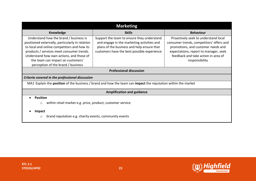| <b>Marketing</b>                                                                                                                                                                                                                                                                                             |                                                                                                                                                                                       |                                                                                                                                                                                                                          |  |  |  |  |
|--------------------------------------------------------------------------------------------------------------------------------------------------------------------------------------------------------------------------------------------------------------------------------------------------------------|---------------------------------------------------------------------------------------------------------------------------------------------------------------------------------------|--------------------------------------------------------------------------------------------------------------------------------------------------------------------------------------------------------------------------|--|--|--|--|
| Knowledge                                                                                                                                                                                                                                                                                                    | <b>Skills</b>                                                                                                                                                                         | <b>Behaviour</b>                                                                                                                                                                                                         |  |  |  |  |
| Understand how the brand / business is<br>positioned externally, particularly in relation<br>to local and online competitors and how its<br>products / services meet consumer trends.<br>Understand how own actions, and those of<br>the team can impact on customers'<br>perception of the brand / business | Support the team to ensure they understand<br>and engage in the marketing activities and<br>plans of the business and help ensure that<br>customers have the best possible experience | Proactively seek to understand local<br>consumer trends, competitors' offers and<br>promotions, and customer needs and<br>expectations, report to manager, seek<br>feedback and take action in area of<br>responsibility |  |  |  |  |
| <b>Professional discussion</b>                                                                                                                                                                                                                                                                               |                                                                                                                                                                                       |                                                                                                                                                                                                                          |  |  |  |  |
| Criteria covered in the professional discussion                                                                                                                                                                                                                                                              |                                                                                                                                                                                       |                                                                                                                                                                                                                          |  |  |  |  |
| MA1 Explain the position of the business / brand and how the team can impact the reputation within the market                                                                                                                                                                                                |                                                                                                                                                                                       |                                                                                                                                                                                                                          |  |  |  |  |
|                                                                                                                                                                                                                                                                                                              | <b>Amplification and guidance</b>                                                                                                                                                     |                                                                                                                                                                                                                          |  |  |  |  |
| <b>Position</b><br>within retail market e.g. price, product, customer service<br>$\circ$                                                                                                                                                                                                                     |                                                                                                                                                                                       |                                                                                                                                                                                                                          |  |  |  |  |
| Impact<br>brand reputation e.g. charity events, community events<br>$\circ$                                                                                                                                                                                                                                  |                                                                                                                                                                                       |                                                                                                                                                                                                                          |  |  |  |  |

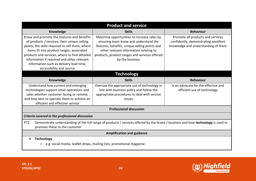| <b>Product and service</b>                                                                                                                                                                                                                                                                                                                                                                                                                                                                                                                                                                                              |                                                                                                                                                   |                                                                                                                  |  |  |  |  |
|-------------------------------------------------------------------------------------------------------------------------------------------------------------------------------------------------------------------------------------------------------------------------------------------------------------------------------------------------------------------------------------------------------------------------------------------------------------------------------------------------------------------------------------------------------------------------------------------------------------------------|---------------------------------------------------------------------------------------------------------------------------------------------------|------------------------------------------------------------------------------------------------------------------|--|--|--|--|
| <b>Knowledge</b>                                                                                                                                                                                                                                                                                                                                                                                                                                                                                                                                                                                                        | <b>Skills</b>                                                                                                                                     | <b>Behaviour</b>                                                                                                 |  |  |  |  |
| Know and promote the features and benefits<br>Maximise opportunities to increase sales by<br>of products / services, their unique selling<br>ensuring team know and understand the<br>points, the skills required to sell them, where<br>features, benefits, unique selling points and<br>items fit into product ranges, associated<br>other relevant information relating to<br>products and services, where to find detailed<br>products, product ranges and services offered<br>information if required and other relevant<br>by the business<br>information such as delivery lead time,<br>accessibility and source |                                                                                                                                                   | Promote all products and services<br>confidently, demonstrating excellent<br>knowledge and understanding of them |  |  |  |  |
|                                                                                                                                                                                                                                                                                                                                                                                                                                                                                                                                                                                                                         | <b>Technology</b>                                                                                                                                 |                                                                                                                  |  |  |  |  |
| Knowledge                                                                                                                                                                                                                                                                                                                                                                                                                                                                                                                                                                                                               | <b>Behaviour</b>                                                                                                                                  |                                                                                                                  |  |  |  |  |
| Understand how current and emerging<br>technologies support retail operations and<br>sales whether customer facing or remote,<br>and how best to operate them to achieve an<br>efficient and effective service                                                                                                                                                                                                                                                                                                                                                                                                          | Oversee the appropriate use of technology in<br>line with business policy and follow the<br>appropriate procedures to deal with service<br>issues | Is an advocate for the effective and<br>efficient use of technology                                              |  |  |  |  |
|                                                                                                                                                                                                                                                                                                                                                                                                                                                                                                                                                                                                                         | <b>Professional discussion</b>                                                                                                                    |                                                                                                                  |  |  |  |  |
| Criteria covered in the professional discussion                                                                                                                                                                                                                                                                                                                                                                                                                                                                                                                                                                         |                                                                                                                                                   |                                                                                                                  |  |  |  |  |
| Demonstrate understanding of the full range of products / services offered by the brand / business and how technology is used to<br>PT <sub>1</sub><br>promote these to the customer                                                                                                                                                                                                                                                                                                                                                                                                                                    |                                                                                                                                                   |                                                                                                                  |  |  |  |  |
| <b>Amplification and guidance</b>                                                                                                                                                                                                                                                                                                                                                                                                                                                                                                                                                                                       |                                                                                                                                                   |                                                                                                                  |  |  |  |  |
| <b>Technology</b><br>e.g. social media, leaflet drops, mailing lists, promotional magazine                                                                                                                                                                                                                                                                                                                                                                                                                                                                                                                              |                                                                                                                                                   |                                                                                                                  |  |  |  |  |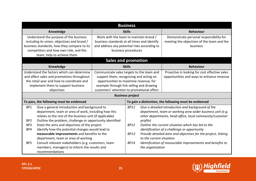| <b>Business</b>                                                                                                                                                                                                                                         |                                                                                                                                                                                                                          |               |                          |                                                                                                                                                                              |
|---------------------------------------------------------------------------------------------------------------------------------------------------------------------------------------------------------------------------------------------------------|--------------------------------------------------------------------------------------------------------------------------------------------------------------------------------------------------------------------------|---------------|--------------------------|------------------------------------------------------------------------------------------------------------------------------------------------------------------------------|
| Knowledge                                                                                                                                                                                                                                               |                                                                                                                                                                                                                          | <b>Skills</b> |                          | <b>Behaviour</b>                                                                                                                                                             |
| Understand the purpose of the business<br>including its vision, objectives and brand /<br>business standards, how they compare to its<br>competitors and how own role, and the<br>team, help to achieve them                                            | Work with the team to maintain brand /<br>business standards at all times and identify<br>and address any potential risks according to<br>business procedures                                                            |               |                          | Demonstrate personal responsibility for<br>meeting the objectives of the team and the<br>business                                                                            |
|                                                                                                                                                                                                                                                         | <b>Sales and promotion</b>                                                                                                                                                                                               |               |                          |                                                                                                                                                                              |
| Knowledge                                                                                                                                                                                                                                               |                                                                                                                                                                                                                          | <b>Skills</b> |                          | <b>Behaviour</b>                                                                                                                                                             |
| Understand the factors which can determine<br>and affect sales and promotions throughout<br>the retail year and how to coordinate and<br>implement them to support business<br>objectives                                                               | Communicate sales targets to the team and<br>support them, recognising and acting on<br>opportunities to maximise revenue, for<br>example through link selling and drawing<br>customers' attention to promotional offers |               |                          | Proactive in looking for cost effective sales<br>opportunities and ways to enhance revenue                                                                                   |
| <b>Business project</b>                                                                                                                                                                                                                                 |                                                                                                                                                                                                                          |               |                          |                                                                                                                                                                              |
| To pass, the following must be evidenced                                                                                                                                                                                                                |                                                                                                                                                                                                                          |               |                          | To gain a distinction, the following must be evidenced                                                                                                                       |
| BP1<br>Give a general introduction and background to<br>department, team or area of work, including how this<br>relates to the rest of the business unit (if applicable)<br>Outline the problem, challenge or opportunity identified<br>BP <sub>2</sub> |                                                                                                                                                                                                                          | <b>BP11</b>   | profile)                 | Give a detailed introduction and background of the<br>department, team or working area wider business unit (e.g.<br>other departments, head office, local community/customer |
| BP3<br>State the aims and objectives of the project<br>BP4<br>Identify how the potential changes would lead to                                                                                                                                          |                                                                                                                                                                                                                          | <b>BP12</b>   |                          | Outline the current situation which has led to the<br>identification of a challenge or opportunity                                                                           |
| measurable improvements and benefits to the<br>department, team or area of working                                                                                                                                                                      |                                                                                                                                                                                                                          | <b>BP13</b>   | to the current situation | Provide detailed aims and objectives for the project, linking                                                                                                                |
| Consult relevant stakeholders (e.g. customers, team<br>BP <sub>5</sub><br>members, managers) to inform the results and<br>recommendations                                                                                                               |                                                                                                                                                                                                                          | <b>BP14</b>   | the organisation         | Identification of measurable improvements and benefits to                                                                                                                    |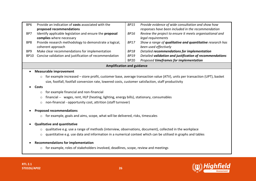| BP <sub>6</sub><br>BP7<br>BP8<br>BP <sub>9</sub> | Provide an indication of costs associated with the<br>proposed recommendations<br>Identify applicable legislation and ensure the proposal<br>complies where necessary<br>Provide research methodology to demonstrate a logical,<br>coherent approach<br>Make clear recommendations for implementation | <b>BP15</b><br><b>BP16</b><br><b>BP17</b><br>BP18 | Provide evidence of wide consultation and show how<br>responses have been included in the recommendation<br>Review the project to ensure it meets organisational and<br>legal requirements<br>Show a range of qualitative and quantitative research has<br>been used effectively<br>Detailed recommendations for implementation |  |
|--------------------------------------------------|-------------------------------------------------------------------------------------------------------------------------------------------------------------------------------------------------------------------------------------------------------------------------------------------------------|---------------------------------------------------|---------------------------------------------------------------------------------------------------------------------------------------------------------------------------------------------------------------------------------------------------------------------------------------------------------------------------------|--|
| <b>BP10</b>                                      | Concise validation and justification of recommendation                                                                                                                                                                                                                                                | <b>BP19</b><br><b>BP20</b>                        | Detailed validation and justification of recommendations<br>Proposed timeframes for implementation                                                                                                                                                                                                                              |  |
| <b>Amplification and guidance</b>                |                                                                                                                                                                                                                                                                                                       |                                                   |                                                                                                                                                                                                                                                                                                                                 |  |

#### • **Measurable improvement**

o for example increased – store profit, customer base, average transaction value (ATV), units per transaction (UPT), basket size, footfall, footfall conversion rate, lowered costs, customer satisfaction, staff productivity

#### • **Costs**

- o for example financial and non-financial
- o financial -- wages, rent, HLP (heating, lighting, energy bills), stationary, consumables
- o non-financial opportunity cost, attrition (staff turnover)

#### • **Proposed recommendations**

o for example, goals and aims, scope, what will be delivered, risks, timescales

#### • **Qualitative and quantitative**

- o qualitative e.g. use a range of methods (interview, observations, document), collected in the workplace
- o quantitative e.g. use data and information in a numerical context which can be utilised in graphs and tables

#### • **Recommendations for implementation**

o for example, roles of stakeholders involved, deadlines, scope, review and meetings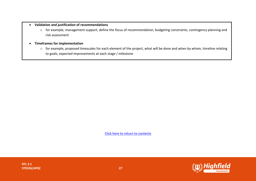#### • **Validation and justification of recommendations**

o for example, management support, define the focus of recommendation, budgeting constraints, contingency planning and risk assessment

#### • **Timeframes for implementation**

o for example, proposed timescales for each element of the project, what will be done and when by whom, timeline relating to goals, expected improvements at each stage / milestone

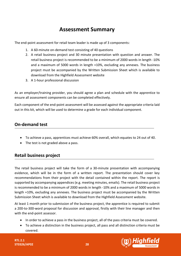# **Assessment Summary**

<span id="page-27-0"></span>The end-point assessment for retail team leader is made up of 3 components:

- 1. A 60-minute on-demand test consisting of 40 questions
- 2. A retail business project and 30 minute presentation with question and answer. The retail business project is recommended to be a minimum of 2000 words in length -10% and a maximum of 5000 words in length +10%, excluding any annexes. The business project must be accompanied by the Written Submission Sheet which is available to download from the Highfield Assessment website
- 3. A 1-hour professional discussion

As an employer/training provider, you should agree a plan and schedule with the apprentice to ensure all assessment components can be completed effectively.

Each component of the end-point assessment will be assessed against the appropriate criteria laid out in this kit, which will be used to determine a grade for each individual component.

## **On-demand test**

- To achieve a pass, apprentices must achieve 60% overall, which equates to 24 out of 40.
- The test is not graded above a pass.

# **Retail business project**

The retail business project will take the form of a 30-minute presentation with accompanying evidence, which will be in the form of a written report. The presentation should cover key recommendations from their project with the detail contained within the report. The report is supported by accompanying appendices (e.g. meeting minutes, emails). The retail business project is recommended to be a minimum of 2000 words in length -10% and a maximum of 5000 words in length +10%, excluding any annexes. The business project must be accompanied by the Written Submission Sheet which is available to download from the Highfield Assessment website.

At least 1 month prior to submission of the business project, the apprentice is required to submit a 200-to-300-word proposal for discussion and approval, firstly with their line manager and then with the end-point assessor.

- In order to achieve a pass in the business project, all of the pass criteria must be covered.
- To achieve a distinction in the business project, all pass and all distinction criteria must be covered.

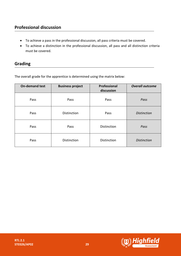# **Professional discussion**

- To achieve a pass in the professional discussion, all pass criteria must be covered.
- To achieve a distinction in the professional discussion, all pass and all distinction criteria must be covered.

# **Grading**

The overall grade for the apprentice is determined using the matrix below:

| <b>On-demand test</b> | <b>Business project</b> | Professional<br>discussion | <b>Overall outcome</b> |
|-----------------------|-------------------------|----------------------------|------------------------|
| Pass                  | Pass                    | Pass                       | Pass                   |
| Pass                  | Distinction             | Pass                       | <b>Distinction</b>     |
| Pass                  | Pass                    | <b>Distinction</b>         | Pass                   |
| Pass                  | Distinction             | Distinction                | <b>Distinction</b>     |

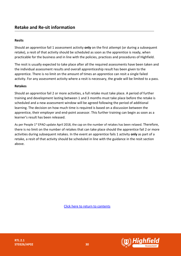#### **Resits**

Should an apprentice fail 1 assessment activity **only** on the first attempt (or during a subsequent retake), a resit of that activity should be scheduled as soon as the apprentice is ready, when practicable for the business and in line with the policies, practices and procedures of Highfield.

The resit is usually expected to take place after all the required assessments have been taken and the individual assessment results and overall apprenticeship result has been given to the apprentice. There is no limit on the amount of times an apprentice can resit a single failed activity. For any assessment activity where a resit is necessary, the grade will be limited to a pass.

#### **Retakes**

Should an apprentice fail 2 or more activities, a full retake must take place. A period of further training and development lasting between 1 and 3 months must take place before the retake is scheduled and a new assessment window will be agreed following the period of additional learning. The decision on how much time is required is based on a discussion between the apprentice, their employer and end-point assessor. This further training can begin as soon as a learner's result has been released.

As per People 1<sup>st</sup> EPAO update April 2018, the cap on the number of retakes has been relaxed. Therefore, there is no limit on the number of retakes that can take place should the apprentice fail 2 or more activities during subsequent retakes. In the event an apprentice fails 1 activity **only** as part of a retake, a resit of that activity should be scheduled in line with the guidance in the resit section above.



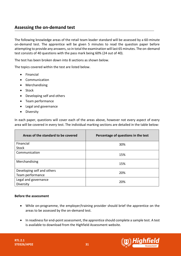## <span id="page-30-0"></span>**Assessing the on-demand test**

The following knowledge areas of the retail team leader standard will be assessed by a 60-minute on-demand test. The apprentice will be given 5 minutes to read the question paper before attempting to provide any answers, so in total the examination will last 65 minutes. The on-demand test consists of 40 questions with the pass mark being 60% (24 out of 40).

The test has been broken down into 8 sections as shown below.

The topics covered within the test are listed below.

- Financial
- Communication
- Merchandising
- Stock
- Developing self and others
- Team performance
- Legal and governance
- Diversity

In each paper, questions will cover each of the areas above, however not every aspect of every area will be covered in every test. The individual marking sections are detailed in the table below:

| Areas of the standard to be covered | Percentage of questions in the test |
|-------------------------------------|-------------------------------------|
| Financial                           | 30%                                 |
| Stock                               |                                     |
| Communication                       | 15%                                 |
| Merchandising                       | 15%                                 |
| Developing self and others          | 20%                                 |
| Team performance                    |                                     |
| Legal and governance                | 20%                                 |
| Diversity                           |                                     |

#### **Before the assessment**

- While on-programme, the employer/training provider should brief the apprentice on the areas to be assessed by the on-demand test.
- In readiness for end-point assessment, the apprentice should complete a sample test. A test is available to download from the Highfield Assessment website.



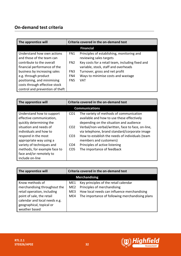# **On-demand test criteria**

| The apprentice will                                       | Criteria covered in the on-demand test |                                                                                          |
|-----------------------------------------------------------|----------------------------------------|------------------------------------------------------------------------------------------|
|                                                           |                                        | <b>Financial</b>                                                                         |
| Understand how own actions<br>and those of the team can   | FN1                                    | Principles of establishing, monitoring and<br>reviewing sales targets                    |
| contribute to the overall<br>financial performance of the | FN <sub>2</sub>                        | Key costs for a retail team, including fixed and<br>variable, stock, staff and overheads |
| business by increasing sales                              | FN3                                    | Turnover, gross and net profit                                                           |
| e.g. through product                                      | FN4                                    | Ways to minimise costs and wastage                                                       |
| positioning, and minimising                               | FN <sub>5</sub>                        | <b>VAT</b>                                                                               |
| costs through effective stock                             |                                        |                                                                                          |
| control and prevention of theft                           |                                        |                                                                                          |

| The apprentice will          | Criteria covered in the on-demand test |                                                   |  |
|------------------------------|----------------------------------------|---------------------------------------------------|--|
| <b>Communications</b>        |                                        |                                                   |  |
| Understand how to support    | CO <sub>1</sub>                        | The variety of methods of communication           |  |
| effective communication,     |                                        | available and how to use these effectively        |  |
| quickly determining the      |                                        | depending on the situation and audience           |  |
| situation and needs of       | CO <sub>2</sub>                        | Verbal/non-verbal/written, face to face, on-line, |  |
| individuals and how to       |                                        | via telephone, brand standard/corporate image     |  |
| respond in the most          | CO <sub>3</sub>                        | How to establish the needs of individuals (team   |  |
| appropriate way using a      |                                        | members and customers)                            |  |
| variety of techniques and    | CO <sub>4</sub>                        | Principles of active listening                    |  |
| methods, for example face to | CO <sub>5</sub>                        | The importance of feedback                        |  |
| face and/or remotely to      |                                        |                                                   |  |
| include on-line              |                                        |                                                   |  |

| The apprentice will                                                                                                                                                                       | Criteria covered in the on-demand test |                                                                                                                                                                        |
|-------------------------------------------------------------------------------------------------------------------------------------------------------------------------------------------|----------------------------------------|------------------------------------------------------------------------------------------------------------------------------------------------------------------------|
| <b>Merchandising</b>                                                                                                                                                                      |                                        |                                                                                                                                                                        |
| Know methods of<br>merchandising throughout the<br>retail operation, including<br>point of sale, the retail<br>calendar and local needs e.g.<br>geographical, topical or<br>weather based | ME1<br>ME2<br>ME3<br>ME4               | Key principles of the retail calendar<br>Principles of merchandising<br>How local needs can influence merchandising<br>The importance of following merchandising plans |

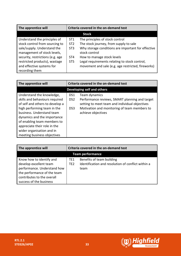| The apprentice will              | Criteria covered in the on-demand test |                                                    |
|----------------------------------|----------------------------------------|----------------------------------------------------|
|                                  |                                        | <b>Stock</b>                                       |
| Understand the principles of     | ST <sub>1</sub>                        | The principles of stock control                    |
| stock control from sourcing to   | ST <sub>2</sub>                        | The stock journey, from supply to sale             |
| sale/supply. Understand the      | ST <sub>3</sub>                        | Why storage conditions are important for effective |
| management of stock levels,      |                                        | stock control                                      |
| security, restrictions (e.g. age | ST <sub>4</sub>                        | How to manage stock levels                         |
| restricted products), wastage    | ST <sub>5</sub>                        | Legal requirements relating to stock control,      |
| and effective systems for        |                                        | movement and sale (e.g. age restricted, fireworks) |
| recording them                   |                                        |                                                    |

| The apprentice will                                                                                                                                                                                                                                      | Criteria covered in the on-demand test |                                                                                                                                                                                         |  |
|----------------------------------------------------------------------------------------------------------------------------------------------------------------------------------------------------------------------------------------------------------|----------------------------------------|-----------------------------------------------------------------------------------------------------------------------------------------------------------------------------------------|--|
| <b>Developing self and others</b>                                                                                                                                                                                                                        |                                        |                                                                                                                                                                                         |  |
| Understand the knowledge,<br>skills and behaviours required<br>of self and others to develop a<br>high performing team in the<br>business. Understand team<br>dynamics and the importance<br>of enabling team members to<br>appreciate their role in the | DS1<br>DS <sub>2</sub><br>DS3          | Team dynamics<br>Performance reviews, SMART planning and target<br>setting to meet team and individual objectives<br>Motivation and monitoring of team members to<br>achieve objectives |  |
| wider organisation and in<br>meeting business objectives                                                                                                                                                                                                 |                                        |                                                                                                                                                                                         |  |

| The apprentice will                                                                                                                                                       | Criteria covered in the on-demand test |                                                                                         |  |
|---------------------------------------------------------------------------------------------------------------------------------------------------------------------------|----------------------------------------|-----------------------------------------------------------------------------------------|--|
| <b>Team performance</b>                                                                                                                                                   |                                        |                                                                                         |  |
| Know how to identify and<br>develop excellent team<br>performance. Understand how<br>the performance of the team<br>contributes to the overall<br>success of the business | TE1<br>TE <sub>2</sub>                 | Benefits of team building<br>Identification and resolution of conflict within a<br>team |  |



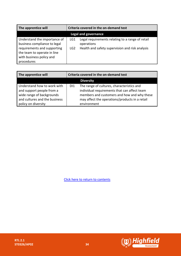| The apprentice will                                                                                                                                                  | Criteria covered in the on-demand test |                                                                                                                   |
|----------------------------------------------------------------------------------------------------------------------------------------------------------------------|----------------------------------------|-------------------------------------------------------------------------------------------------------------------|
| <b>Legal and governance</b>                                                                                                                                          |                                        |                                                                                                                   |
| Understand the importance of<br>business compliance to legal<br>requirements and supporting<br>the team to operate in line<br>with business policy and<br>procedures | LG1<br>LG2                             | Legal requirements relating to a range of retail<br>operations<br>Health and safety supervision and risk analysis |

| The apprentice will                                                                   | Criteria covered in the on-demand test                                                                                                                      |  |
|---------------------------------------------------------------------------------------|-------------------------------------------------------------------------------------------------------------------------------------------------------------|--|
|                                                                                       | <b>Diversity</b>                                                                                                                                            |  |
| Understand how to work with<br>and support people from a<br>wide range of backgrounds | The range of cultures, characteristics and<br>D <sub>1</sub><br>individual requirements that can affect team<br>members and customers and how and why these |  |
| and cultures and the business<br>policy on diversity                                  | may affect the operations/products in a retail<br>environment                                                                                               |  |

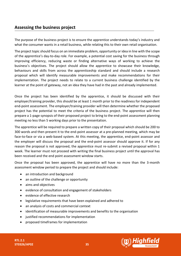<span id="page-34-0"></span>The purpose of the business project is to ensure the apprentice understands today's industry and what the consumer wants in a retail business, while relating this to their own retail organisation.

The project topic should focus on an immediate problem, opportunity or idea in line with the scope of the apprentice's day-to-day role. For example, a potential cost saving for the business through improving efficiency, reducing waste or finding alternative ways of working to achieve the business's objectives. The project should allow the apprentice to showcase their knowledge, behaviours and skills from across the apprenticeship standard and should include a research proposal which will identify measurable improvements and make recommendations for their implementation. The project needs to relate to a current business challenge identified by the learner at the point of gateway, not an idea they have had in the past and already implemented.

Once the project has been identified by the apprentice, it should be discussed with their employer/training provider, this should be at least 1 month prior to the readiness for independent end-point assessment. The employer/training provider will then determine whether the proposed project has the potential to meet the criteria of the business project. The apprentice will then prepare a 1-page synopsis of their proposed project to bring to the end-point assessment planning meeting no less than 5 working days prior to the presentation.

The apprentice will be required to prepare a written copy of their proposal which should be 200 to 300 words and then present it to the end-point assessor at a pre-planned meeting, which may be face-to-face or via a web-based system. At this meeting, the apprentice, end-point assessor and the employer will discuss the proposal and the end-point assessor should approve it. If for any reason the proposal is not approved, the apprentice must re-submit a revised proposal within 1 week. The learner must not proceed with writing the final business project until the approval has been received and the end point assessment window starts.

Once the proposal has been approved, the apprentice will have no more than the 3-month assessment window period to prepare the project and should include:

- an introduction and background
- an outline of the challenge or opportunity
- aims and objectives
- evidence of consultation and engagement of stakeholders
- evidence of effective research
- legislative requirements that have been explained and adhered to
- an analysis of costs and commercial context
- identification of measurable improvements and benefits to the organisation
- justified recommendations for implementation
- proposed timeframes for implementation



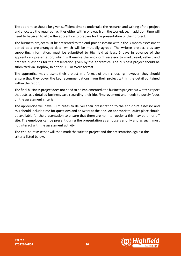The apprentice should be given sufficient time to undertake the research and writing of the project and allocated the required facilities either within or away from the workplace. In addition, time will need to be given to allow the apprentice to prepare for the presentation of their project.

The business project must be presented to the end-point assessor within the 3-month assessment period at a pre-arranged date, which will be mutually agreed. The written project, plus any supporting information, must be submitted to Highfield at least 5 days in advance of the apprentice's presentation, which will enable the end-point assessor to mark, read, reflect and prepare questions for the presentation given by the apprentice. The business project should be submitted via Dropbox, in either PDF or Word format.

The apprentice may present their project in a format of their choosing; however, they should ensure that they cover the key recommendations from their project within the detail contained within the report.

The final business project does not need to be implemented, the business project is a written report that acts as a detailed business case regarding their idea/improvement and needs to purely focus on the assessment criteria.

The apprentice will have 30 minutes to deliver their presentation to the end-point assessor and this should include time for questions and answers at the end. An appropriate, quiet place should be available for the presentation to ensure that there are no interruptions; this may be on or off site. The employer can be present during the presentation as an observer only and as such, must not interact with the assessment activity.

The end-point assessor will then mark the written project and the presentation against the criteria listed below.



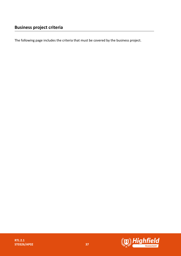The following page includes the criteria that must be covered by the business project.

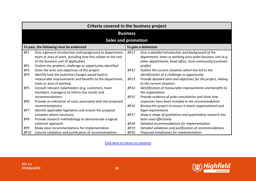|                        | Criteria covered in the business project                                                                                                                                                                                      |                            |                                                                                                                                                                                          |
|------------------------|-------------------------------------------------------------------------------------------------------------------------------------------------------------------------------------------------------------------------------|----------------------------|------------------------------------------------------------------------------------------------------------------------------------------------------------------------------------------|
|                        | <b>Business</b>                                                                                                                                                                                                               |                            |                                                                                                                                                                                          |
|                        | <b>Sales and promotion</b>                                                                                                                                                                                                    |                            |                                                                                                                                                                                          |
|                        | To pass, the following must be evidenced                                                                                                                                                                                      |                            | To gain a distinction                                                                                                                                                                    |
| BP1<br>BP <sub>2</sub> | Give a general introduction and background to department,<br>team or area of work, including how this relates to the rest<br>of the business unit (if applicable)<br>Outline the problem, challenge or opportunity identified | <b>BP11</b>                | Give a detailed introduction and background of the<br>department, team or working area wider business unit (e.g.<br>other departments, head office, local community/customer<br>profile) |
| BP3<br>BP4             | State the aims and objectives of the project<br>Identify how the potential changes would lead to                                                                                                                              | <b>BP12</b>                | Outline the current situation which has led to the<br>identification of a challenge or opportunity                                                                                       |
|                        | measurable improvements and benefits to the department,<br>team or area of working                                                                                                                                            | <b>BP13</b>                | Provide detailed aims and objectives for the project, linking<br>to the current situation                                                                                                |
| BP <sub>5</sub>        | Consult relevant stakeholders (e.g. customers, team<br>members, managers) to inform the results and                                                                                                                           | <b>BP14</b>                | Identification of measurable improvements and benefits to<br>the organisation                                                                                                            |
| BP <sub>6</sub>        | recommendations<br>Provide an indication of costs associated with the proposed                                                                                                                                                | <b>BP15</b>                | Provide evidence of wide consultation and show how<br>responses have been included in the recommendation                                                                                 |
| BP7                    | recommendations<br>Identify applicable legislation and ensure the proposal                                                                                                                                                    | <b>BP16</b>                | Review the project to ensure it meets organisational and<br>legal requirements                                                                                                           |
|                        | complies where necessary                                                                                                                                                                                                      | <b>BP17</b>                | Show a range of qualitative and quantitative research has                                                                                                                                |
| BP8                    | Provide research methodology to demonstrate a logical,                                                                                                                                                                        |                            | been used effectively                                                                                                                                                                    |
| BP9                    | coherent approach<br>Make clear recommendations for implementation                                                                                                                                                            | <b>BP18</b><br><b>BP19</b> | Detailed recommendations for implementation<br>Detailed validation and justification of recommendations                                                                                  |
| <b>BP10</b>            | Concise validation and justification of recommendation                                                                                                                                                                        | <b>BP20</b>                | Proposed timeframes for implementation                                                                                                                                                   |

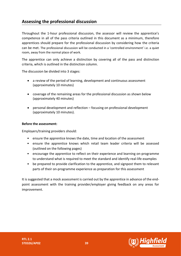## <span id="page-38-0"></span>**Assessing the professional discussion**

Throughout the 1-hour professional discussion, the assessor will review the apprentice's competence in all of the pass criteria outlined in this document as a minimum, therefore apprentices should prepare for the professional discussion by considering how the criteria can be met. The professional discussion will be conducted in a 'controlled environment' i.e. a quiet room, away from the normal place of work.

The apprentice can only achieve a distinction by covering all of the pass and distinction criteria, which is outlined in the distinction column.

The discussion be divided into 3 stages:

- a review of the period of learning, development and continuous assessment (approximately 10 minutes)
- coverage of the remaining areas for the professional discussion as shown below (approximately 40 minutes)
- personal development and reflection focusing on professional development (approximately 10 minutes).

#### **Before the assessment:**

Employers/training providers should:

- ensure the apprentice knows the date, time and location of the assessment
- ensure the apprentice knows which retail team leader criteria will be assessed (outlined on the following pages)
- encourage the apprentice to reflect on their experience and learning on-programme to understand what is required to meet the standard and identify real-life examples
- be prepared to provide clarification to the apprentice, and signpost them to relevant parts of their on-programme experience as preparation for this assessment

It is suggested that a mock assessment is carried out by the apprentice in advance of the endpoint assessment with the training provider/employer giving feedback on any areas for improvement.

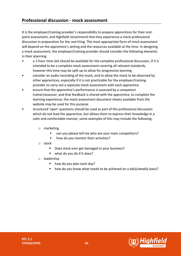<span id="page-39-0"></span>It is the employer/training provider's responsibility to prepare apprentices for their endpoint assessment, and Highfield recommend that they experience a mock professional discussion in preparation for the real thing. The most appropriate form of mock assessment will depend on the apprentice's setting and the resources available at the time. In designing a mock assessment, the employer/training provider should consider the following elements in their planning:

- a 1-hour time slot should be available for the complete professional discussion, if it is intended to be a complete mock assessment covering all relevant standards, however this time may be split up to allow for progressive learning
- consider an audio recording of the mock, and to allow the mock to be observed by other apprentices, especially if it is not practicable for the employer/training provider to carry out a separate mock assessment with each apprentice
- ensure that the apprentice's performance is assessed by a competent trainer/assessor, and that feedback is shared with the apprentice, to complete the learning experience, the mock assessment document sheets available from the website may be used for this purpose
- structured 'open' questions should be used as part of the professional discussion which do not lead the apprentice, but allows them to express their knowledge in a calm and comfortable manner, some examples of this may include the following:
	- o marketing
		- can you please tell me who are your main competitors?
			- how do you monitor their activities?
	- o stock
		- Does stock ever get damaged in your business?
		- what do you do if it does?
	- o leadership
		- how do you plan each day?
		- how do you know what needs to be achieved on a daily/weekly basis?

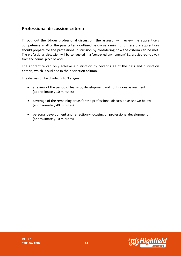## <span id="page-40-0"></span>**Professional discussion criteria**

Throughout the 1-hour professional discussion, the assessor will review the apprentice's competence in all of the pass criteria outlined below as a minimum, therefore apprentices should prepare for the professional discussion by considering how the criteria can be met. The professional discussion will be conducted in a 'controlled environment' i.e. a quiet room, away from the normal place of work.

The apprentice can only achieve a distinction by covering all of the pass and distinction criteria, which is outlined in the distinction column.

The discussion be divided into 3 stages:

- a review of the period of learning, development and continuous assessment (approximately 10 minutes)
- coverage of the remaining areas for the professional discussion as shown below (approximately 40 minutes)
- personal development and reflection focusing on professional development (approximately 10 minutes).

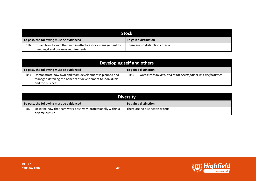|                 | <b>Stock</b>                                                  |                                   |  |
|-----------------|---------------------------------------------------------------|-----------------------------------|--|
|                 | To pass, the following must be evidenced                      | To gain a distinction             |  |
| ST <sub>6</sub> | Explain how to lead the team in effective stock management to | There are no distinction criteria |  |
|                 | meet legal and business requirements                          |                                   |  |

|     | Developing self and others                                                                                                                  |                 |                                                         |
|-----|---------------------------------------------------------------------------------------------------------------------------------------------|-----------------|---------------------------------------------------------|
|     | To pass, the following must be evidenced                                                                                                    |                 | To gain a distinction                                   |
| DS4 | Demonstrate how own and team development is planned and<br>managed detailing the benefits of development to individuals<br>and the business | DS <sub>5</sub> | Measure individual and team development and performance |

| Diversity                                |                                                                                   |                                   |  |
|------------------------------------------|-----------------------------------------------------------------------------------|-----------------------------------|--|
| To pass, the following must be evidenced |                                                                                   | To gain a distinction             |  |
| DI <sub>2</sub>                          | Describe how the team work positively, professionally within a<br>diverse culture | There are no distinction criteria |  |

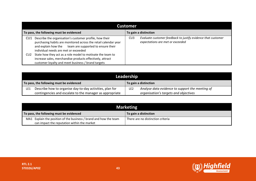| <b>Customer</b>                                                                                                                                                                                                                                                                                                                                                                                                              |                                                                                                                     |  |
|------------------------------------------------------------------------------------------------------------------------------------------------------------------------------------------------------------------------------------------------------------------------------------------------------------------------------------------------------------------------------------------------------------------------------|---------------------------------------------------------------------------------------------------------------------|--|
| To pass, the following must be evidenced                                                                                                                                                                                                                                                                                                                                                                                     | To gain a distinction                                                                                               |  |
| Describe the organisation's customer profile, how their<br>CU1.<br>purchasing habits are monitored across the retail calendar year<br>and explain how the team are supported to ensure their<br>individual needs are met or exceeded<br>State how they act as a role model to motivate the team to<br>CU2<br>increase sales, merchandise products effectively, attract<br>customer loyalty and meet business / brand targets | Evaluate customer feedback to justify evidence that customer<br>CU <sub>3</sub><br>expectations are met or exceeded |  |

| Leadership |                                                          |     |                                                 |
|------------|----------------------------------------------------------|-----|-------------------------------------------------|
|            | To pass, the following must be evidenced                 |     | To gain a distinction                           |
| LE1        | Describe how to organise day-to-day activities, plan for | LE2 | Analyse data evidence to support the meeting of |
|            | contingencies and escalate to the manager as appropriate |     | organisation's targets and objectives           |

|     | <b>Marketing</b>                                              |                                   |  |
|-----|---------------------------------------------------------------|-----------------------------------|--|
|     | To pass, the following must be evidenced                      | To gain a distinction             |  |
| MA1 | Explain the position of the business / brand and how the team | There are no distinction criteria |  |
|     | can impact the reputation within the market                   |                                   |  |